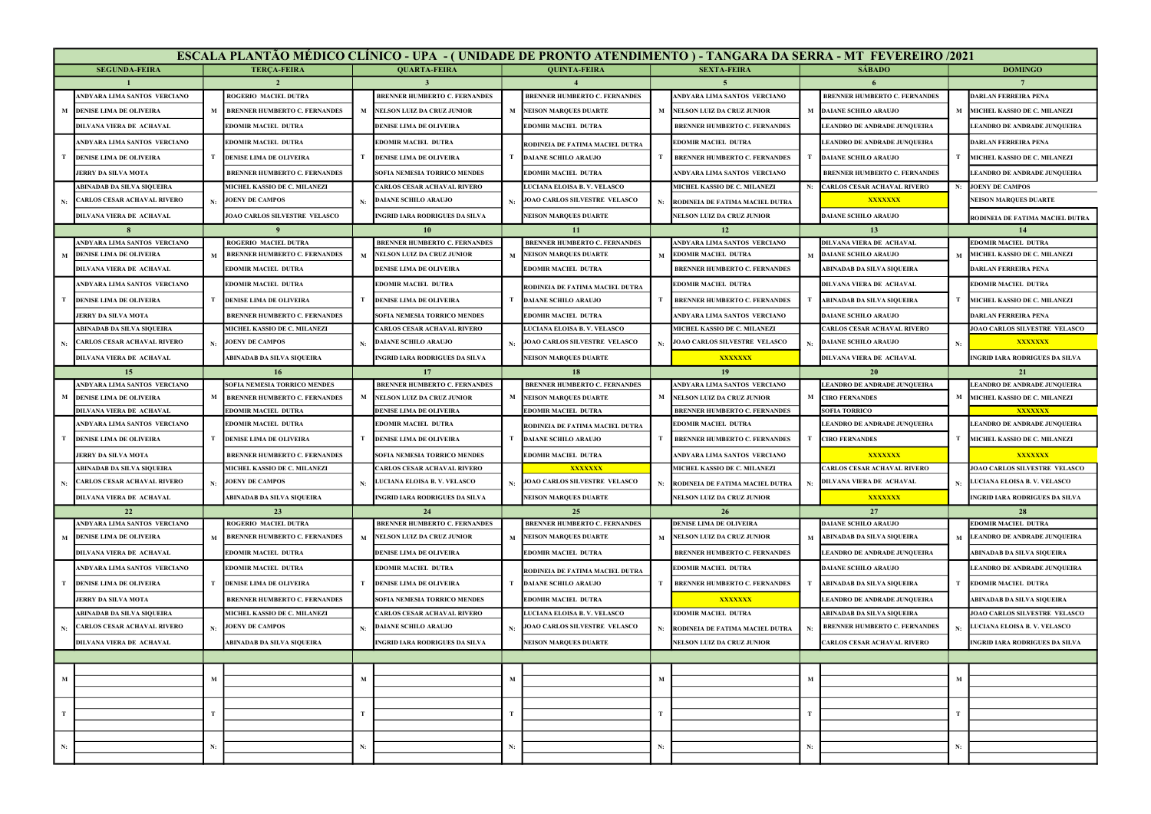|             | ESCALA PLANTÃO MÉDICO CLÍNICO - UPA - ( UNIDADE DE PRONTO ATENDIMENTO ) - TANGARA DA SERRA - MT FEVEREIRO /2021 |             |                                                                    |             |                                                         |             |                                                                |             |                                                                           |             |                                          |    |                                                  |  |
|-------------|-----------------------------------------------------------------------------------------------------------------|-------------|--------------------------------------------------------------------|-------------|---------------------------------------------------------|-------------|----------------------------------------------------------------|-------------|---------------------------------------------------------------------------|-------------|------------------------------------------|----|--------------------------------------------------|--|
|             | <b>SEGUNDA-FEIRA</b>                                                                                            |             | <b>TERCA-FEIRA</b>                                                 |             | <b>QUARTA-FEIRA</b>                                     |             | <b>QUINTA-FEIRA</b>                                            |             | <b>SEXTA-FEIRA</b>                                                        |             | <b>SÁBADO</b>                            |    | <b>DOMINGO</b>                                   |  |
|             |                                                                                                                 |             |                                                                    |             |                                                         |             |                                                                |             |                                                                           |             |                                          |    |                                                  |  |
|             | ANDYARA LIMA SANTOS VERCIANO                                                                                    |             | <b>ROGERIO MACIEL DUTRA</b>                                        |             | BRENNER HUMBERTO C. FERNANDES                           |             | <b>BRENNER HUMBERTO C. FERNANDES</b>                           |             | ANDYARA LIMA SANTOS VERCIANO                                              |             | <b>BRENNER HUMBERTO C. FERNANDES</b>     |    | <b>DARLAN FERREIRA PENA</b>                      |  |
|             | <b>DENISE LIMA DE OLIVEIRA</b>                                                                                  |             | <b>BRENNER HUMBERTO C. FERNANDES</b>                               |             | M NELSON LUIZ DA CRUZ JUNIOR                            |             | M NEISON MARQUES DUARTE                                        |             | <b>NELSON LUIZ DA CRUZ JUNIOR</b>                                         |             | <b>DAIANE SCHILO ARAUJO</b>              |    | MICHEL KASSIO DE C. MILANEZI                     |  |
|             | DILVANA VIERA DE ACHAVAL                                                                                        |             | <b>EDOMIR MACIEL DUTRA</b>                                         |             | DENISE LIMA DE OLIVEIRA                                 |             | <b>EDOMIR MACIEL DUTRA</b>                                     |             | <b>BRENNER HUMBERTO C. FERNANDES</b>                                      |             | LEANDRO DE ANDRADE JUNQUEIRA             |    | <b>LEANDRO DE ANDRADE JUNQUEIRA</b>              |  |
|             | ANDYARA LIMA SANTOS VERCIANO                                                                                    |             | <b>EDOMIR MACIEL DUTRA</b>                                         |             | <b>EDOMIR MACIEL DUTRA</b>                              |             | RODINEIA DE FATIMA MACIEL DUTRA                                |             | <b>EDOMIR MACIEL DUTRA</b>                                                |             | LEANDRO DE ANDRADE JUNQUEIRA             |    | DARLAN FERREIRA PENA                             |  |
|             | <b>DENISE LIMA DE OLIVEIRA</b>                                                                                  | T           | <b>DENISE LIMA DE OLIVEIRA</b>                                     |             | <b>T DENISE LIMA DE OLIVEIRA</b>                        |             | <b>DAIANE SCHILO ARAUJO</b>                                    |             | <b>BRENNER HUMBERTO C. FERNANDES</b>                                      | т           | <b>DAIANE SCHILO ARAUJO</b>              |    | T MICHEL KASSIO DE C. MILANEZI                   |  |
|             | <b>JERRY DA SILVA MOTA</b>                                                                                      |             | <b>BRENNER HUMBERTO C. FERNANDES</b>                               |             | SOFIA NEMESIA TORRICO MENDES                            |             | <b>EDOMIR MACIEL DUTRA</b>                                     |             | ANDYARA LIMA SANTOS VERCIANO                                              |             | <b>BRENNER HUMBERTO C. FERNANDES</b>     |    | LEANDRO DE ANDRADE JUNQUEIRA                     |  |
|             | ABINADAB DA SILVA SIQUEIRA                                                                                      |             | MICHEL KASSIO DE C. MILANEZI                                       |             | <b>ARLOS CESAR ACHAVAL RIVERO</b>                       |             | LUCIANA ELOISA B. V. VELASCO                                   |             | MICHEL KASSIO DE C. MILANEZI                                              | N:          | <b>CARLOS CESAR ACHAVAL RIVERO</b>       | N: | <b>JOENY DE CAMPOS</b>                           |  |
| N:          | <b>CARLOS CESAR ACHAVAL RIVERO</b>                                                                              |             | <b>JOENY DE CAMPOS</b>                                             |             | <b>DAIANE SCHILO ARAUJO</b>                             |             | JOAO CARLOS SILVESTRE VELASCO                                  |             | RODINEIA DE FATIMA MACIEL DUTRA                                           |             | XXXXXXX                                  |    | <b>NEISON MARQUES DUARTE</b>                     |  |
|             | DILVANA VIERA DE ACHAVAL                                                                                        |             | JOAO CARLOS SILVESTRE VELASCO                                      |             | <b>INGRID IARA RODRIGUES DA SILVA</b>                   |             | <b>NEISON MARQUES DUARTE</b>                                   |             | NELSON LUIZ DA CRUZ JUNIOR                                                |             | <b>DAIANE SCHILO ARAUJO</b>              |    | RODINEIA DE FATIMA MACIEL DUTRA                  |  |
|             |                                                                                                                 |             |                                                                    |             |                                                         |             | -11                                                            |             | 12                                                                        |             | 13                                       |    |                                                  |  |
|             | ANDYARA LIMA SANTOS VERCIANO                                                                                    |             | ROGERIO MACIEL DUTRA                                               |             | <b>BRENNER HUMBERTO C. FERNANDES</b>                    |             | <b>BRENNER HUMBERTO C. FERNANDES</b>                           |             | ANDYARA LIMA SANTOS VERCIANO                                              |             | <b>DILVANA VIERA DE ACHAVAL</b>          |    | EDOMIR MACIEL DUTRA                              |  |
| M           | <b>DENISE LIMA DE OLIVEIRA</b>                                                                                  |             | <b>BRENNER HUMBERTO C. FERNANDES</b>                               | M           | NELSON LUIZ DA CRUZ JUNIOR                              | M           | <b>NEISON MARQUES DUARTE</b>                                   |             | <b>EDOMIR MACIEL DUTRA</b>                                                |             | <b>DAIANE SCHILO ARAUJO</b>              |    | MICHEL KASSIO DE C. MILANEZI                     |  |
|             | DILVANA VIERA DE ACHAVAL                                                                                        |             | EDOMIR MACIEL DUTRA                                                |             | DENISE LIMA DE OLIVEIRA                                 |             | EDOMIR MACIEL DUTRA                                            |             | <b>BRENNER HUMBERTO C. FERNANDES</b>                                      |             | ABINADAB DA SILVA SIQUEIRA               |    | DARLAN FERREIRA PENA                             |  |
|             | ANDYARA LIMA SANTOS VERCIANO                                                                                    |             | <b>EDOMIR MACIEL DUTRA</b>                                         |             | <b>EDOMIR MACIEL DUTRA</b>                              |             | RODINEIA DE FATIMA MACIEL DUTRA                                |             | <b>EDOMIR MACIEL DUTRA</b>                                                |             | <b>DILVANA VIERA DE ACHAVAL</b>          |    | EDOMIR MACIEL DUTRA                              |  |
|             | <b>DENISE LIMA DE OLIVEIRA</b>                                                                                  |             | DENISE LIMA DE OLIVEIRA                                            |             | <b>DENISE LIMA DE OLIVEIRA</b>                          |             | <b>DAIANE SCHILO ARAUJO</b>                                    |             | <b>BRENNER HUMBERTO C. FERNANDES</b>                                      |             | <b>ABINADAB DA SILVA SIQUEIRA</b>        |    | MICHEL KASSIO DE C. MILANEZI                     |  |
|             | JERRY DA SILVA MOTA                                                                                             |             | <b>BRENNER HUMBERTO C. FERNANDES</b>                               |             | SOFIA NEMESIA TORRICO MENDES                            |             | <b>EDOMIR MACIEL DUTRA</b>                                     |             | ANDYARA LIMA SANTOS VERCIANO                                              |             | <b>DAIANE SCHILO ARAUJO</b>              |    | DARLAN FERREIRA PENA                             |  |
|             | <b>ABINADAB DA SILVA SIQUEIRA</b>                                                                               |             | MICHEL KASSIO DE C. MILANEZI                                       |             | <b>CARLOS CESAR ACHAVAL RIVERO</b>                      |             | LUCIANA ELOISA B.V. VELASCO                                    |             | MICHEL KASSIO DE C. MILANEZI                                              |             | CARLOS CESAR ACHAVAL RIVERO              |    | JOAO CARLOS SILVESTRE VELASCO                    |  |
| N:          | CARLOS CESAR ACHAVAL RIVERO                                                                                     | N:          | <b>JOENY DE CAMPOS</b>                                             | N:          | <b>DAIANE SCHILO ARAUJO</b>                             |             | JOAO CARLOS SILVESTRE VELASCO                                  | N:          | JOAO CARLOS SILVESTRE VELASCO                                             | N:          | <b>DAIANE SCHILO ARAUJO</b>              | N: | XXXXXXX                                          |  |
|             | DILVANA VIERA DE ACHAVAL                                                                                        |             | ABINADAB DA SILVA SIQUEIRA                                         |             | <b>INGRID IARA RODRIGUES DA SILVA</b>                   |             | <b>NEISON MARQUES DUARTE</b>                                   |             | XXXXXXX                                                                   |             | <b>DILVANA VIERA DE ACHAVAL</b>          |    | INGRID IARA RODRIGUES DA SILVA                   |  |
|             | 15                                                                                                              |             | -16                                                                |             | 17                                                      |             | 18                                                             |             | 19                                                                        |             | 20                                       |    | 21                                               |  |
|             | ANDYARA LIMA SANTOS VERCIANO                                                                                    | M           | SOFIA NEMESIA TORRICO MENDES                                       |             | <b>BRENNER HUMBERTO C. FERNANDES</b>                    |             | <b>BRENNER HUMBERTO C. FERNANDES</b>                           |             | ANDYARA LIMA SANTOS VERCIANO                                              |             | LEANDRO DE ANDRADE JUNQUEIRA             |    | <b>LEANDRO DE ANDRADE JUNOUEIRA</b>              |  |
|             | <b>DENISE LIMA DE OLIVEIRA</b><br><b>DILVANA VIERA DE ACHAVAI</b>                                               |             | <b>BRENNER HUMBERTO C. FERNANDES</b><br><b>EDOMIR MACIEL DUTRA</b> |             | M NELSON LUIZ DA CRUZ JUNIOR<br>DENISE LIMA DE OLIVEIRA |             | M NEISON MARQUES DUARTE<br><b>EDOMIR MACIEL DUTRA</b>          | M           | <b>NELSON LUIZ DA CRUZ JUNIOR</b><br><b>BRENNER HUMBERTO C. FERNANDES</b> |             | M CIRO FERNANDES<br><b>SOFIA TORRICO</b> |    | M MICHEL KASSIO DE C. MILANEZI<br><b>XXXXXXX</b> |  |
|             | ANDYARA LIMA SANTOS VERCIANO                                                                                    |             | <b>EDOMIR MACIEL DUTRA</b>                                         |             | <b>EDOMIR MACIEL DUTRA</b>                              |             |                                                                |             | EDOMIR MACIEL DUTRA                                                       |             | LEANDRO DE ANDRADE JUNQUEIRA             |    | LEANDRO DE ANDRADE JUNQUEIRA                     |  |
|             | <b>DENISE LIMA DE OLIVEIRA</b>                                                                                  |             | DENISE LIMA DE OLIVEIRA                                            |             | <b>DENISE LIMA DE OLIVEIRA</b>                          |             | RODINEIA DE FATIMA MACIEL DUTRA<br><b>DAIANE SCHILO ARAUJO</b> |             | <b>BRENNER HUMBERTO C. FERNANDES</b>                                      | т           | <b>CIRO FERNANDES</b>                    |    | MICHEL KASSIO DE C. MILANEZI                     |  |
|             | JERRY DA SILVA MOTA                                                                                             |             | <b>BRENNER HUMBERTO C. FERNANDES</b>                               |             | SOFIA NEMESIA TORRICO MENDES                            |             | <b>EDOMIR MACIEL DUTRA</b>                                     |             | ANDYARA LIMA SANTOS VERCIANO                                              |             | XXXXXXX                                  |    | XXXXXXX                                          |  |
|             | <b>ABINADAB DA SILVA SIQUEIRA</b>                                                                               |             | MICHEL KASSIO DE C. MILANEZI                                       |             | <b>CARLOS CESAR ACHAVAL RIVERO</b>                      |             | XXXXXXX                                                        |             | MICHEL KASSIO DE C. MILANEZI                                              |             | CARLOS CESAR ACHAVAL RIVERO              |    | JOAO CARLOS SILVESTRE VELASCO                    |  |
| N:          | CARLOS CESAR ACHAVAL RIVERO                                                                                     | N:          | <b>JOENY DE CAMPOS</b>                                             |             | N: LUCIANA ELOISA B.V. VELASCO                          | N:          | JOAO CARLOS SILVESTRE VELASCO                                  | N:          | RODINEIA DE FATIMA MACIEL DUTRA                                           | N:          | <b>DILVANA VIERA DE ACHAVAL</b>          | N: | LUCIANA ELOISA B. V. VELASCO                     |  |
|             | DILVANA VIERA DE ACHAVAL                                                                                        |             | ABINADAB DA SILVA SIQUEIRA                                         |             | <b>NGRID IARA RODRIGUES DA SILVA</b>                    |             | NEISON MARQUES DUARTE                                          |             | NELSON LUIZ DA CRUZ JUNIOR                                                |             | XXXXXXX                                  |    | INGRID IARA RODRIGUES DA SILVA                   |  |
|             | 22                                                                                                              |             | 23                                                                 |             | 24                                                      |             | 25                                                             |             | 26                                                                        |             | 27                                       |    | 28                                               |  |
|             | ANDYARA LIMA SANTOS VERCIANO                                                                                    |             | ROGERIO MACIEL DUTRA                                               |             | <b>BRENNER HUMBERTO C. FERNANDES</b>                    |             | <b>BRENNER HUMBERTO C. FERNANDES</b>                           |             | DENISE LIMA DE OLIVEIRA                                                   |             | <b>DAIANE SCHILO ARAUJO</b>              |    | <b>EDOMIR MACIEL DUTRA</b>                       |  |
| M           | DENISE LIMA DE OLIVEIRA                                                                                         |             | <b>BRENNER HUMBERTO C. FERNANDES</b>                               |             | M NELSON LUIZ DA CRUZ JUNIOR                            |             | NEISON MARQUES DUARTE                                          |             | <b>NELSON LUIZ DA CRUZ JUNIOR</b>                                         |             | <b>ABINADAB DA SILVA SIQUEIRA</b>        |    | <b>LEANDRO DE ANDRADE JUNQUEIRA</b>              |  |
|             | <b>DILVANA VIERA DE ACHAVAL</b>                                                                                 |             | <b>EDOMIR MACIEL DUTRA</b>                                         |             | DENISE LIMA DE OLIVEIRA                                 |             | <b>EDOMIR MACIEL DUTRA</b>                                     |             | <b>BRENNER HUMBERTO C. FERNANDES</b>                                      |             | LEANDRO DE ANDRADE JUNQUEIRA             |    | ABINADAB DA SILVA SIQUEIRA                       |  |
|             | ANDYARA LIMA SANTOS VERCIANO                                                                                    |             | <b>EDOMIR MACIEL DUTRA</b>                                         |             | <b>EDOMIR MACIEL DUTRA</b>                              |             | RODINEIA DE FATIMA MACIEL DUTRA                                |             | <b>EDOMIR MACIEL DUTRA</b>                                                |             | <b>DAIANE SCHILO ARAUJO</b>              |    | LEANDRO DE ANDRADE JUNQUEIRA                     |  |
|             | <b>DENISE LIMA DE OLIVEIRA</b>                                                                                  | T.          | DENISE LIMA DE OLIVEIRA                                            |             | <b>T</b> DENISE LIMA DE OLIVEIRA                        |             | <b>T</b> DAIANE SCHILO ARAUJO                                  | T           | <b>BRENNER HUMBERTO C. FERNANDES</b>                                      | т           | <b>ABINADAB DA SILVA SIQUEIRA</b>        |    | <b>T</b> EDOMIR MACIEL DUTRA                     |  |
|             | <b>JERRY DA SILVA MOTA</b>                                                                                      |             | <b>BRENNER HUMBERTO C. FERNANDES</b>                               |             | SOFIA NEMESIA TORRICO MENDES                            |             | <b>EDOMIR MACIEL DUTRA</b>                                     |             | XXXXXX                                                                    |             | <b>LEANDRO DE ANDRADE JUNQUEIRA</b>      |    | ABINADAB DA SILVA SIQUEIRA                       |  |
|             | <b>ABINADAB DA SILVA SIQUEIRA</b>                                                                               |             | MICHEL KASSIO DE C. MILANEZI                                       |             | CARLOS CESAR ACHAVAL RIVERO                             |             | LUCIANA ELOISA B.V. VELASCO                                    |             | <b>EDOMIR MACIEL DUTRA</b>                                                |             | ABINADAB DA SILVA SIQUEIRA               |    | JOAO CARLOS SILVESTRE VELASCO                    |  |
| N:          | <b>CARLOS CESAR ACHAVAL RIVERO</b>                                                                              |             | <b>JOENY DE CAMPOS</b>                                             |             | <b>DAIANE SCHILO ARAUJO</b>                             |             | JOAO CARLOS SILVESTRE VELASCO                                  |             | RODINEIA DE FATIMA MACIEL DUTRA                                           | N:          | <b>BRENNER HUMBERTO C. FERNANDES</b>     | N: | LUCIANA ELOISA B.V. VELASCO                      |  |
|             | <b>DILVANA VIERA DE ACHAVAI</b>                                                                                 |             | ABINADAB DA SILVA SIQUEIRA                                         |             | <b>INGRID IARA RODRIGUES DA SILVA</b>                   |             | <b>NEISON MARQUES DUARTE</b>                                   |             | NELSON LUIZ DA CRUZ JUNIOR                                                |             | CARLOS CESAR ACHAVAL RIVERO              |    | <b>INGRID IARA RODRIGUES DA SILVA</b>            |  |
|             |                                                                                                                 |             |                                                                    |             |                                                         |             |                                                                |             |                                                                           |             |                                          |    |                                                  |  |
|             |                                                                                                                 |             |                                                                    |             |                                                         |             |                                                                |             |                                                                           |             |                                          |    |                                                  |  |
| $\mathbf M$ |                                                                                                                 | $\mathbf M$ |                                                                    | $\mathbf M$ |                                                         | $\mathbf M$ |                                                                | M           |                                                                           | M           |                                          | M  |                                                  |  |
|             |                                                                                                                 |             |                                                                    |             |                                                         |             |                                                                |             |                                                                           |             |                                          |    |                                                  |  |
| $\mathbf T$ |                                                                                                                 | $\mathbf T$ |                                                                    | $\mathbf T$ |                                                         | $\mathbf T$ |                                                                | $\mathbf T$ |                                                                           | $\mathbf T$ |                                          | T  |                                                  |  |
|             |                                                                                                                 |             |                                                                    |             |                                                         |             |                                                                |             |                                                                           |             |                                          |    |                                                  |  |
| N:          |                                                                                                                 | N:          |                                                                    | N:          |                                                         | N:          |                                                                | N:          |                                                                           | ${\bf N}$   |                                          | N: |                                                  |  |
|             |                                                                                                                 |             |                                                                    |             |                                                         |             |                                                                |             |                                                                           |             |                                          |    |                                                  |  |